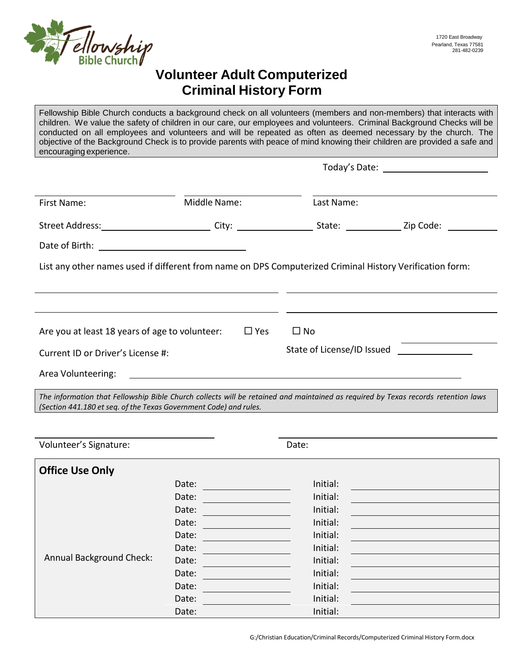

## **Volunteer Adult Computerized Criminal History Form**

Fellowship Bible Church conducts a background check on all volunteers (members and non-members) that interacts with children. We value the safety of children in our care, our employees and volunteers. Criminal Background Checks will be conducted on all employees and volunteers and will be repeated as often as deemed necessary by the church. The objective of the Background Check is to provide parents with peace of mind knowing their children are provided a safe and encouraging experience.

| First Name:                                                                                                                                                                                                                    | Middle Name: |               | Last Name:   |                                                                     |
|--------------------------------------------------------------------------------------------------------------------------------------------------------------------------------------------------------------------------------|--------------|---------------|--------------|---------------------------------------------------------------------|
| Street Address: ___________________________City: ______________________State: _______________Zip Code: _______                                                                                                                 |              |               |              |                                                                     |
|                                                                                                                                                                                                                                |              |               |              |                                                                     |
| List any other names used if different from name on DPS Computerized Criminal History Verification form:                                                                                                                       |              |               |              |                                                                     |
|                                                                                                                                                                                                                                |              |               |              |                                                                     |
|                                                                                                                                                                                                                                |              |               |              |                                                                     |
| Are you at least 18 years of age to volunteer:                                                                                                                                                                                 |              | $\square$ Yes | $\square$ No |                                                                     |
| Current ID or Driver's License #:                                                                                                                                                                                              |              |               |              | State of License/ID Issued <u>_________________________________</u> |
| Area Volunteering: Note that the contract of the contract of the contract of the contract of the contract of the contract of the contract of the contract of the contract of the contract of the contract of the contract of t |              |               |              |                                                                     |
| The information that Fellowship Bible Church collects will be retained and maintained as required by Texas records retention laws<br>(Section 441.180 et seq. of the Texas Government Code) and rules.                         |              |               |              |                                                                     |

| Volunteer's Signature:          |       | Date:    |  |
|---------------------------------|-------|----------|--|
| <b>Office Use Only</b>          |       |          |  |
|                                 | Date: | Initial: |  |
| <b>Annual Background Check:</b> | Date: | Initial: |  |
|                                 | Date: | Initial: |  |
|                                 | Date: | Initial: |  |
|                                 | Date: | Initial: |  |
|                                 | Date: | Initial: |  |
|                                 | Date: | Initial: |  |
|                                 | Date: | Initial: |  |
|                                 | Date: | Initial: |  |
|                                 | Date: | Initial: |  |
|                                 | Date: | Initial: |  |